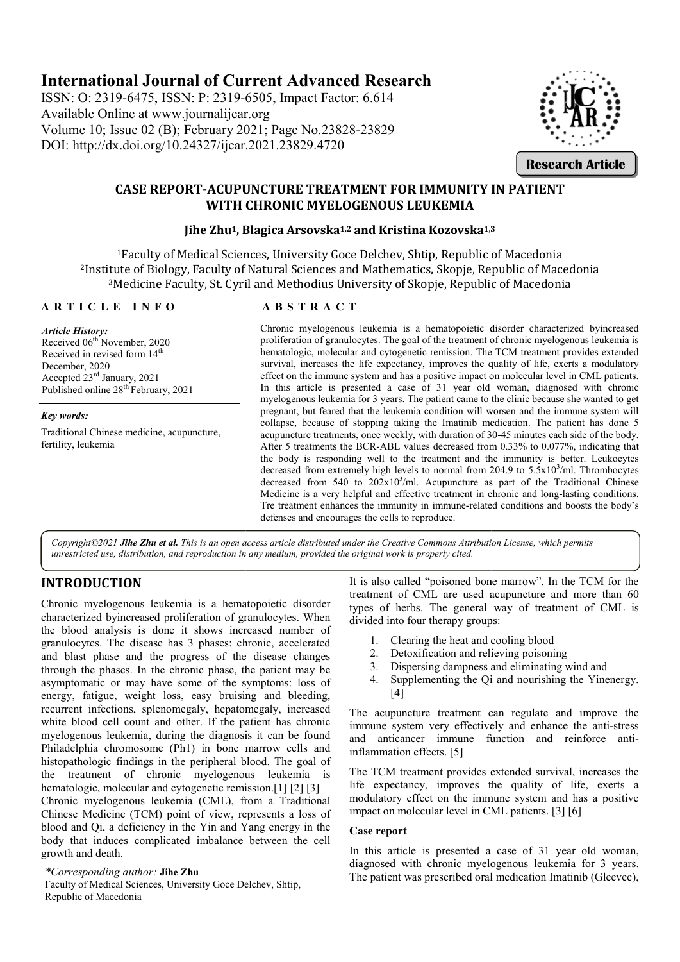# **International Journal of Current Advanced Research**

ISSN: O: 2319-6475, ISSN: P: 2319-6505, Impact Factor: 6.614 Available Online at www.journalijcar.org Volume 10; Issue 02 (B); February 2021 2021; Page No.23828-23829 DOI: http://dx.doi.org/10.24327/ijcar.2021.23829.4720



# **CASE REPORT-ACUPUNCTURE TREATMENT FOR IMMUNITY IN PATIENT ACUPUNCTURE PATIENT WITH CHRONIC MYELOGENOUS LEUKEMIA** RT-ACUPUNCTURE TREATMENT FOR IMMUNITY I<br>WITH CHRONIC MYELOGENOUS LEUKEMIA<br>Jihe Zhu<sup>1</sup>, Blagica Arsovska<sup>1,2</sup> and Kristina Kozovska<sup>1,3</sup>

<sup>1</sup>Faculty of Medical Sciences, University Goce Delchev, Shtip, Republic of Macedonia 2Institute of Biology, Faculty of Natural Sciences and Mathematics, Skopje, Republic of Macedonia Institute of Biology, Faculty of Natural Sciences and Mathematics, Skopje, Republic of Mace<br><sup>3</sup>Medicine Faculty, St. Cyril and Methodius University of Skopje, Republic of Macedonia dical Sciences, University Goce Delchev, Shtip, Republic of M<br>Faculty of Natural Sciences and Mathematics, Skopje, Repub<br>lty, St. Cyril and Methodius University of Skopje, Republic of

## **A R T I C L E I N F O**

# **A B S T R A C T**

*Article History:* Received 06<sup>th</sup> November, 2020 Received in revised form  $14<sup>th</sup>$ December, 2020 Accepted 23<sup>rd</sup> January, 2021 Published online 28<sup>th</sup> February, 2021

#### *Key words:*

Traditional Chinese medicine, acupuncture, fertility, leukemia

Chronic myelogenous leukemia is a hematopoietic disorder characterized byincreased proliferation of granulocytes. The goal of the treatment of chronic myelogenous leukemia is hematologic, molecular and cytogenetic remission. The TCM treatment provides extended survival, increases the life expectancy, improves the quality of life, exerts a modulatory effect on the immune system and has a positive impact on molecular level in CML patients. In this article is presented a case of 31 year old woman, diagnosed with chronic myelogenous leukemia for 3 years. The patient came to the clinic because she wanted to get pregnant, but feared that the leukemia condition will worsen and the immu collapse, because of stopping taking the Imatinib medication. The patient has done 5 acupuncture treatments, once weekly, with duration of 30-45 minutes each side of the body. After 5 treatments the BCR-ABL values decreased from  $0.33\%$  to  $0.077\%$ , indicating that the body is responding well to the treatment and the immunity is better. Leukocytes the body is responding well to the treatment and the immunity is better. Leukocytes decreased from extremely high levels to normal from  $204.9$  to  $5.5 \times 10^3$ /ml. Thrombocytes decreased from  $540$  to  $202x10^3$ /ml. Acupuncture as part of the Traditional Chinese Medicine is a very helpful and effective treatment in chronic and long-lasting conditions. Tre treatment enhances the immunity in immune-related conditions and boosts the body's defenses and encourages the cells to reproduce. Chronic myelogenous leukemia is a hematopoietic disorder characterized byincreased proliferation of granulocytes. The goal of the treatment of chronic myelogenous leukemia is hematologic, molecular and cytogenetic remissio In this article is presented a case of 31 year old woman, diagnosed with chronic myelogenous leukemia for 3 years. The patient came to the clinic because she wanted to get pregnant, but feared that the leukemia condition w **EXERCIS (SEARCH)**<br> **EXERCISE TON IMMUNITY IN PATIENT**<br> **EXERCISE CONSTRANTS AND CONSTRANTS AND AND CONSTRANTS AND AND CONSTRANTS AND AND CONSTRANTS AND AND CONSTRANTS and MINIMATERY of Skoppie, Republic of Macedonia<br>
<b>EXE** 

*Copyright©2021 Jihe Zhu et al. This is an open access article distributed under the Creative Commons Attribution License, which permits unrestricted use, distribution, and reproduction in any medium, provided the original work is properly cited.*

# **INTRODUCTION**

Chronic myelogenous leukemia is a hematopoietic disorder characterized byincreased proliferation of granulocytes. When the blood analysis is done it shows increased number of granulocytes. The disease has 3 phases: chronic, accelerated and blast phase and the progress of the disease changes through the phases. In the chronic phase, the patient may be asymptomatic or may have some of the symptoms: loss of energy, fatigue, weight loss, easy bruising and bleedin bleeding, recurrent infections, splenomegaly, hepatomegaly, increased white blood cell count and other. If the patient has chronic myelogenous leukemia, during the diagnosis it can be found Philadelphia chromosome (Ph1) in bone marrow cells and histopathologic findings in the peripheral blood. The goal of the treatment of chronic myelogenous leukemia is hematologic, molecular and cytogenetic remission.<sup>[1]</sup> [2] <sup>[3]</sup> Chronic myelogenous leukemia (CML), from a Traditional Chinese Medicine (TCM) point of view, represent blood and Qi, a deficiency in the Yin and Yang energy in the body that induces complicated imbalance between the cell growth and death. ndings in the peripheral blood. The goal of<br>of chronic myelogenous leukemia is<br>ecular and cytogenetic remission.[1] [2] [3]<br>nous leukemia (CML), from a Traditional<br>e (TCM) point of view, represents a loss of

*\*Corresponding author:* **Jihe Zhu** Faculty of Medical Sciences, University Goce Delchev, Shtip, Republic of Macedonia

It is also called "poisoned bone marrow". In the TCM for the treatment of CML are used acupuncture and more than 60 types of herbs. The general way of treatment of CML is divided into four therapy groups: is the immunity in immune-related conditions and boosts the bod<br>is the cells to reproduce.<br>The creative Commons Attribution License, which permits<br>iginal work is properly cited.<br>is also called "poisoned bone marrow". In th

- 1. Clearing the heat and cooling blood
- 2. Detoxification and relieving poisoning
- 3. Dispersing dampness and eliminating wind and
- 4. Supplementing the Qi and nourishing the Yinenergy. [4]

The acupuncture treatment can regulate and improve the 4. Supplementing the Qi and nourishing the Yinenergy.<br>
[4]<br>
The acupuncture treatment can regulate and improve the<br>
immune system very effectively and enhance the anti-stress and anticancer immune function and reinforce antiinflammation effects. [5]

The TCM treatment provides extended survival, increases the life expectancy, improves the quality of life, exerts a modulatory effect on the immune system and has a positive impact on molecular level in CML patients. [3] [6]

#### **Case report**

In this article is presented a case of 31 year old woman, diagnosed with chronic myelogenous leukemia for 3 years. The patient was prescribed oral medication Imatinib (Gleevec),